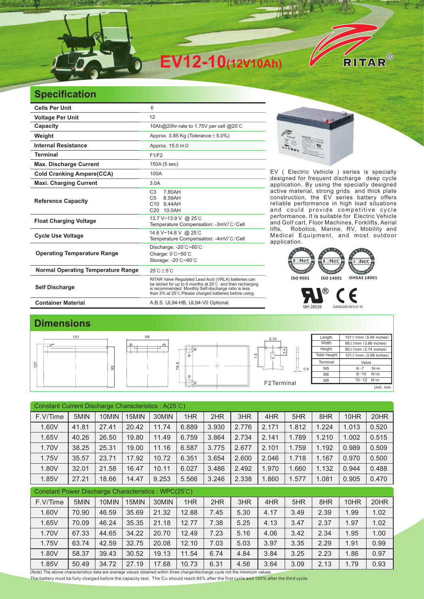

## **Specification**

| <b>Cells Per Unit</b>                     | 6                                                                                                                                                                                                                                   |  |  |  |  |  |
|-------------------------------------------|-------------------------------------------------------------------------------------------------------------------------------------------------------------------------------------------------------------------------------------|--|--|--|--|--|
| <b>Voltage Per Unit</b>                   | 12                                                                                                                                                                                                                                  |  |  |  |  |  |
| Capacity                                  | 10Ah@20hr-rate to 1.75V per cell @25°C                                                                                                                                                                                              |  |  |  |  |  |
| Weight                                    | Approx. 3.85 Kg (Tolerance $\pm$ 5.0%)                                                                                                                                                                                              |  |  |  |  |  |
| <b>Internal Resistance</b>                | Approx. 15.0 m $\Omega$                                                                                                                                                                                                             |  |  |  |  |  |
| <b>Terminal</b>                           | F1/F2                                                                                                                                                                                                                               |  |  |  |  |  |
| <b>Max. Discharge Current</b>             | 150A (5 sec)                                                                                                                                                                                                                        |  |  |  |  |  |
| <b>Cold Cranking Ampere(CCA)</b>          | 100A                                                                                                                                                                                                                                |  |  |  |  |  |
| <b>Maxi. Charging Current</b>             | 3.0A                                                                                                                                                                                                                                |  |  |  |  |  |
| <b>Reference Capacity</b>                 | 7.80AH<br>C <sub>3</sub><br>8.59AH<br>C5<br>C <sub>10</sub> 944AH<br>C20 10.0AH                                                                                                                                                     |  |  |  |  |  |
| <b>Float Charging Voltage</b>             | 13.7 V~13.9 V @ 25°C<br>Temperature Compensation: -3mV/°C/Cell                                                                                                                                                                      |  |  |  |  |  |
| <b>Cycle Use Voltage</b>                  | 14.6 V~14.8 V @ 25°C<br>Temperature Compensation: -4mV/°C/Cell                                                                                                                                                                      |  |  |  |  |  |
| <b>Operating Temperature Range</b>        | Discharge: -20°C~60°C<br>Charge: 0°C~50°C<br>Storage: -20°C~60°C                                                                                                                                                                    |  |  |  |  |  |
| <b>Normal Operating Temperature Range</b> | $25^{\circ}$ C + 5 $^{\circ}$ C                                                                                                                                                                                                     |  |  |  |  |  |
| <b>Self Discharge</b>                     | RITAR Valve Regulated Lead Acid (VRLA) batteries can<br>be stored for up to 6 months at 25°C and then recharging<br>is recommended. Monthly Self-discharge ratio is less<br>than 3% at 25°C. Please charged batteries before using. |  |  |  |  |  |
| <b>Container Material</b>                 | A.B.S. UL94-HB, UL94-V0 Optional.                                                                                                                                                                                                   |  |  |  |  |  |



EV ( Electric Vehicle ) series is specially designed for frequent discharge deep cycle application. By using the specially designed active material, strong grids and thick plate construction, the EV series battery offers reliable performance in high load situations and could provide competitive cycle performance. It is suitable for Electric Vehicle and Golf cart, Floor Machines, Forklifts, Aerial<br>lifts, Robotics, Marine, RV, Mobility and Robotics, Marine, RV, Mobility and Medical Equipment, and most outdoor application.



MH 28539 G4M20206-0910-E-16

## **Dimensions**

|     | 151 | 98 |             | 6.35                          | Length              | $151 \pm 1$ mm $(5.94$ inches) |  |
|-----|-----|----|-------------|-------------------------------|---------------------|--------------------------------|--|
|     |     | ≞  |             |                               | Width               | $98 \pm 1$ mm $(3.86$ inches)  |  |
|     |     |    |             | ᅿ                             | Height              | $95 \pm 1$ mm $(3.74$ inches)  |  |
|     |     |    | $\oplus$    | က်<br>$\infty$<br>$\sim$<br>୴ | <b>Total Height</b> | $101 \pm 1$ mm (3.98 inches)   |  |
| 101 |     |    | $\circ$     |                               | Terminal            | Value                          |  |
|     | LO  |    | ∞           | 0.8<br>—————                  | M <sub>5</sub>      | $6 - 7$<br>$N*m$               |  |
|     |     |    | $\Phi$      |                               | M <sub>6</sub>      | $8 - 10$ N*m                   |  |
|     |     |    | F2 Terminal | M <sub>8</sub>                | $10 - 12$ N*m       |                                |  |
|     |     |    |             |                               | Unit: mm            |                                |  |

| Constant Current Discharge Characteristics: A(25°C) |       |       |       |       |       |       |       |       |       |       |       |       |
|-----------------------------------------------------|-------|-------|-------|-------|-------|-------|-------|-------|-------|-------|-------|-------|
| F.V/Time                                            | 5MIN  | 10MIN | 15MIN | 30MIN | 1HR   | 2HR   | 3HR   | 4HR   | 5HR   | 8HR   | 10HR  | 20HR  |
| 1.60V                                               | 41.81 | 27.41 | 20.42 | 11.74 | 6.889 | 3.930 | 2.776 | 2.171 | 1.812 | 1.224 | 1.013 | 0.520 |
| 1.65V                                               | 40.26 | 26.50 | 19.80 | 11.49 | 6.759 | 3.864 | 2.734 | 2.141 | 1.789 | 1.210 | 1.002 | 0.515 |
| 1.70V                                               | 38.25 | 25.31 | 19.00 | 11.16 | 6.587 | 3.775 | 2.677 | 2.101 | 1.759 | 1.192 | 0.989 | 0.509 |
| 1.75V                                               | 35.57 | 23.71 | 17.92 | 10.72 | 6.351 | 3.654 | 2.600 | 2.046 | 1.718 | 1.167 | 0.970 | 0.500 |
| 1.80V                                               | 32.01 | 21.58 | 16.47 | 10.11 | 6.027 | 3.486 | 2.492 | 1.970 | 1.660 | 1.132 | 0.944 | 0.488 |
| 1.85V                                               | 27.21 | 18.66 | 14.47 | 9.253 | 5.566 | 3.246 | 2.338 | 1.860 | 1.577 | 1.081 | 0.905 | 0.470 |
| Constant Power Discharge Characteristics: WPC(25°C) |       |       |       |       |       |       |       |       |       |       |       |       |
| F.V/Time                                            | 5MIN  | 10MIN | 15MIN | 30MIN | 1HR   | 2HR   | 3HR   | 4HR   | 5HR   | 8HR   | 10HR  | 20HR  |
| 1.60V                                               | 70.90 | 46.59 | 35.69 | 21.32 | 12.88 | 7.45  | 5.30  | 4.17  | 3.49  | 2.39  | 1.99  | 1.02  |
| 1.65V                                               | 70.09 | 46.24 | 35.35 | 21.18 | 12.77 | 7.38  | 5.25  | 4.13  | 3.47  | 2.37  | 1.97  | 1.02  |
| 1.70V                                               | 67.33 | 44.65 | 34.22 | 20.70 | 12.49 | 7.23  | 5.16  | 4.06  | 3.42  | 2.34  | 1.95  | 1.00  |
| 1.75V                                               | 63.74 | 42.59 | 32.75 | 20.08 | 12.10 | 7.03  | 5.03  | 3.97  | 3.35  | 2.29  | 1.91  | 0.99  |
| 1.80V                                               | 58.37 | 39.43 | 30.52 | 19.13 | 11.54 | 6.74  | 4.84  | 3.84  | 3.25  | 2.23  | 1.86  | 0.97  |
|                                                     |       |       |       |       |       |       |       |       |       |       |       |       |
| 1.85V                                               | 50.49 | 34.72 | 27.19 | 17.68 | 10.73 | 6.31  | 4.56  | 3.64  | 3.09  | 2.13  | 1.79  | 0.93  |

The battery must be fully charged before the capacity test. The C<sub>20</sub> should reach 95% after the first cycle and 100% after the third cycle.